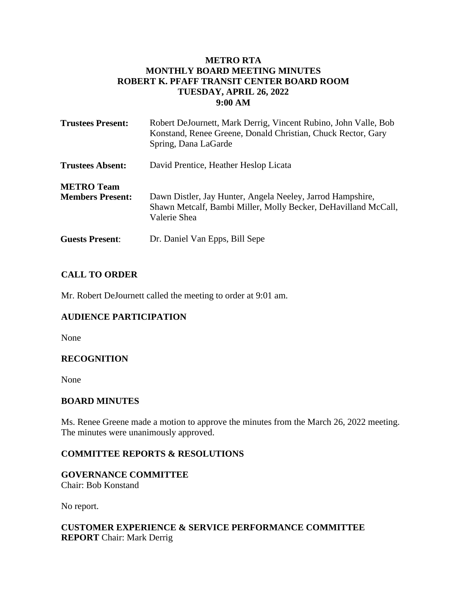### **METRO RTA MONTHLY BOARD MEETING MINUTES ROBERT K. PFAFF TRANSIT CENTER BOARD ROOM TUESDAY, APRIL 26, 2022 9:00 AM**

| <b>Trustees Present:</b>                     | Robert DeJournett, Mark Derrig, Vincent Rubino, John Valle, Bob<br>Konstand, Renee Greene, Donald Christian, Chuck Rector, Gary<br>Spring, Dana LaGarde |
|----------------------------------------------|---------------------------------------------------------------------------------------------------------------------------------------------------------|
| <b>Trustees Absent:</b>                      | David Prentice, Heather Heslop Licata                                                                                                                   |
| <b>METRO Team</b><br><b>Members Present:</b> | Dawn Distler, Jay Hunter, Angela Neeley, Jarrod Hampshire,<br>Shawn Metcalf, Bambi Miller, Molly Becker, DeHavilland McCall,<br>Valerie Shea            |
| <b>Guests Present:</b>                       | Dr. Daniel Van Epps, Bill Sepe                                                                                                                          |

### **CALL TO ORDER**

Mr. Robert DeJournett called the meeting to order at 9:01 am.

### **AUDIENCE PARTICIPATION**

None

### **RECOGNITION**

None

#### **BOARD MINUTES**

Ms. Renee Greene made a motion to approve the minutes from the March 26, 2022 meeting. The minutes were unanimously approved.

### **COMMITTEE REPORTS & RESOLUTIONS**

# **GOVERNANCE COMMITTEE**

Chair: Bob Konstand

No report.

## **CUSTOMER EXPERIENCE & SERVICE PERFORMANCE COMMITTEE REPORT** Chair: Mark Derrig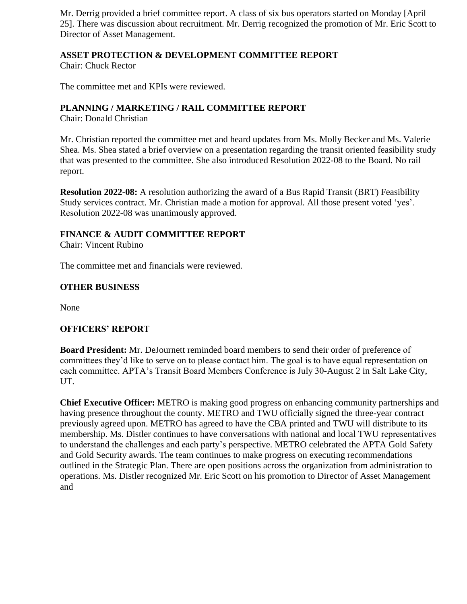Mr. Derrig provided a brief committee report. A class of six bus operators started on Monday [April 25]. There was discussion about recruitment. Mr. Derrig recognized the promotion of Mr. Eric Scott to Director of Asset Management.

### **ASSET PROTECTION & DEVELOPMENT COMMITTEE REPORT**

Chair: Chuck Rector

The committee met and KPIs were reviewed.

### **PLANNING / MARKETING / RAIL COMMITTEE REPORT**

Chair: Donald Christian

Mr. Christian reported the committee met and heard updates from Ms. Molly Becker and Ms. Valerie Shea. Ms. Shea stated a brief overview on a presentation regarding the transit oriented feasibility study that was presented to the committee. She also introduced Resolution 2022-08 to the Board. No rail report.

**Resolution 2022-08:** A resolution authorizing the award of a Bus Rapid Transit (BRT) Feasibility Study services contract. Mr. Christian made a motion for approval. All those present voted 'yes'. Resolution 2022-08 was unanimously approved.

### **FINANCE & AUDIT COMMITTEE REPORT**

Chair: Vincent Rubino

The committee met and financials were reviewed.

### **OTHER BUSINESS**

None

### **OFFICERS' REPORT**

**Board President:** Mr. DeJournett reminded board members to send their order of preference of committees they'd like to serve on to please contact him. The goal is to have equal representation on each committee. APTA's Transit Board Members Conference is July 30-August 2 in Salt Lake City, UT.

**Chief Executive Officer:** METRO is making good progress on enhancing community partnerships and having presence throughout the county. METRO and TWU officially signed the three-year contract previously agreed upon. METRO has agreed to have the CBA printed and TWU will distribute to its membership. Ms. Distler continues to have conversations with national and local TWU representatives to understand the challenges and each party's perspective. METRO celebrated the APTA Gold Safety and Gold Security awards. The team continues to make progress on executing recommendations outlined in the Strategic Plan. There are open positions across the organization from administration to operations. Ms. Distler recognized Mr. Eric Scott on his promotion to Director of Asset Management and